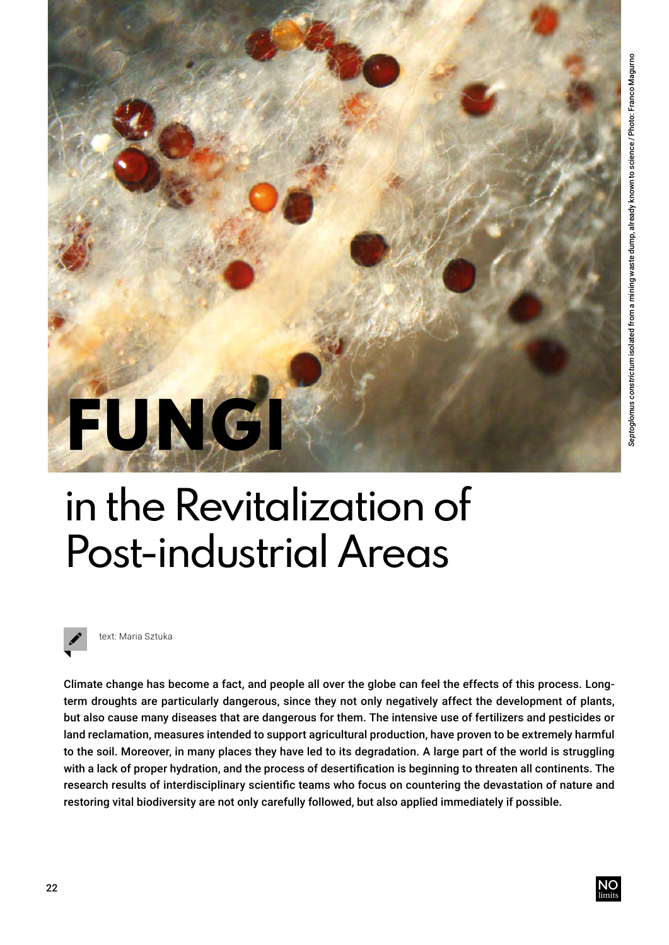

## in the Revitalization of Post-industrial Areas



text: Maria Sztuka

Climate change has become a fact, and people all over the globe can feel the effects of this process. Longterm droughts are particularly dangerous, since they not only negatively affect the development of plants, but also cause many diseases that are dangerous for them. The intensive use of fertilizers and pesticides or land reclamation, measures intended to support agricultural production, have proven to be extremely harmful to the soil. Moreover, in many places they have led to its degradation. A large part of the world is struggling with a lack of proper hydration, and the process of desertification is beginning to threaten all continents. The research results of interdisciplinary scientific teams who focus on countering the devastation of nature and restoring vital biodiversity are not only carefully followed, but also applied immediately if possible.